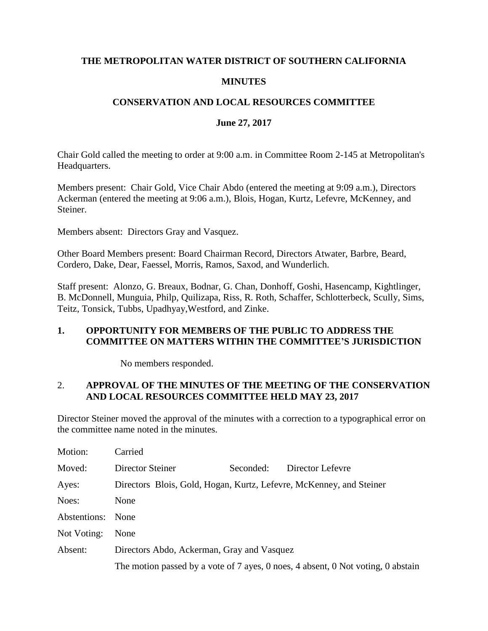#### **THE METROPOLITAN WATER DISTRICT OF SOUTHERN CALIFORNIA**

## **MINUTES**

# **CONSERVATION AND LOCAL RESOURCES COMMITTEE**

## **June 27, 2017**

Chair Gold called the meeting to order at 9:00 a.m. in Committee Room 2-145 at Metropolitan's Headquarters.

Members present: Chair Gold, Vice Chair Abdo (entered the meeting at 9:09 a.m.), Directors Ackerman (entered the meeting at 9:06 a.m.), Blois, Hogan, Kurtz, Lefevre, McKenney, and Steiner.

Members absent: Directors Gray and Vasquez.

Other Board Members present: Board Chairman Record, Directors Atwater, Barbre, Beard, Cordero, Dake, Dear, Faessel, Morris, Ramos, Saxod, and Wunderlich.

Staff present: Alonzo, G. Breaux, Bodnar, G. Chan, Donhoff, Goshi, Hasencamp, Kightlinger, B. McDonnell, Munguia, Philp, Quilizapa, Riss, R. Roth, Schaffer, Schlotterbeck, Scully, Sims, Teitz, Tonsick, Tubbs, Upadhyay,Westford, and Zinke.

#### **1. OPPORTUNITY FOR MEMBERS OF THE PUBLIC TO ADDRESS THE COMMITTEE ON MATTERS WITHIN THE COMMITTEE'S JURISDICTION**

No members responded.

## 2. **APPROVAL OF THE MINUTES OF THE MEETING OF THE CONSERVATION AND LOCAL RESOURCES COMMITTEE HELD MAY 23, 2017**

Director Steiner moved the approval of the minutes with a correction to a typographical error on the committee name noted in the minutes.

| Motion:           | Carried                                                             |                                            |                                                                                  |  |
|-------------------|---------------------------------------------------------------------|--------------------------------------------|----------------------------------------------------------------------------------|--|
| Moved:            | Director Steiner                                                    | Seconded:                                  | Director Lefevre                                                                 |  |
| Ayes:             | Directors Blois, Gold, Hogan, Kurtz, Lefevre, McKenney, and Steiner |                                            |                                                                                  |  |
| Noes:             | None                                                                |                                            |                                                                                  |  |
| Abstentions: None |                                                                     |                                            |                                                                                  |  |
| Not Voting:       | None                                                                |                                            |                                                                                  |  |
| Absent:           |                                                                     | Directors Abdo, Ackerman, Gray and Vasquez |                                                                                  |  |
|                   |                                                                     |                                            | The motion passed by a vote of 7 ayes, 0 noes, 4 absent, 0 Not voting, 0 abstain |  |